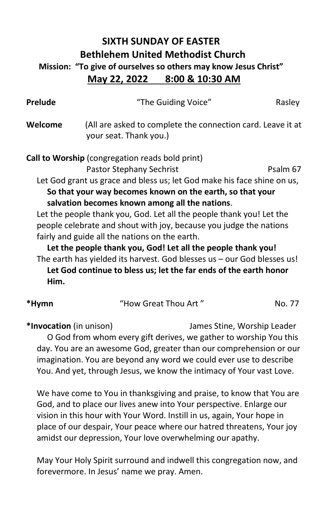## **SIXTH SUNDAY OF EASTER Bethlehem United Methodist Church Mission: "To give of ourselves so others may know Jesus Christ" May 22, 2022 8:00 & 10:30 AM**

| <b>Prelude</b> | "The Guiding Voice"                                                                   | Rasley   |
|----------------|---------------------------------------------------------------------------------------|----------|
| Welcome        | (All are asked to complete the connection card. Leave it at<br>your seat. Thank you.) |          |
|                | <b>Call to Worship</b> (congregation reads bold print)                                |          |
|                | Pastor Stephany Sechrist                                                              | Psalm 67 |
|                | Let God grant us grace and bless us; let God make his face shine on us,               |          |
|                | So that your way becomes known on the earth, so that your                             |          |
|                | salvation becomes known among all the nations.                                        |          |
|                | Let the people thank you, God. Let all the people thank you! Let the                  |          |
|                | people celebrate and shout with joy, because you judge the nations                    |          |
|                | fairly and guide all the nations on the earth.                                        |          |
|                | Let the people thank you, God! Let all the people thank you!                          |          |
|                | The earth has yielded its harvest. God blesses us - our God blesses us!               |          |
|                | Let God continue to bless us; let the far ends of the earth honor                     |          |
| Him.           |                                                                                       |          |
| *Hymn          | "How Great Thou Art"                                                                  | No. 77   |

**\*Invocation** (in unison) James Stine, Worship Leader O God from whom every gift derives, we gather to worship You this day. You are an awesome God, greater than our comprehension or our imagination. You are beyond any word we could ever use to describe You. And yet, through Jesus, we know the intimacy of Your vast Love.

 We have come to You in thanksgiving and praise, to know that You are God, and to place our lives anew into Your perspective. Enlarge our vision in this hour with Your Word. Instill in us, again, Your hope in place of our despair, Your peace where our hatred threatens, Your joy amidst our depression, Your love overwhelming our apathy.

 May Your Holy Spirit surround and indwell this congregation now, and forevermore. In Jesus' name we pray. Amen.